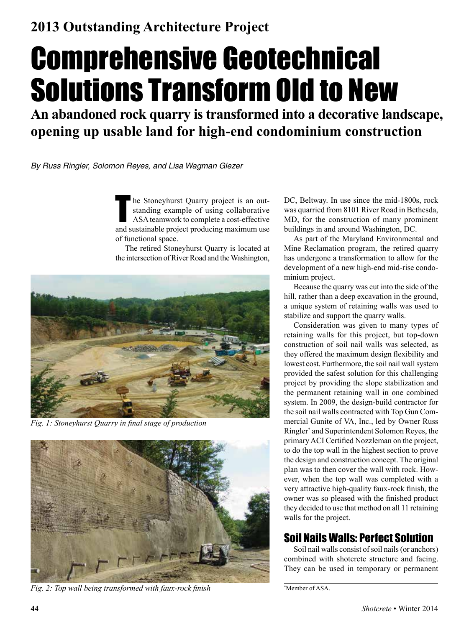# Comprehensive Geotechnical Solutions Transform Old to New

**An abandoned rock quarry is transformed into a decorative landscape, opening up usable land for high-end condominium construction**

*By Russ Ringler, Solomon Reyes, and Lisa Wagman Glezer*

In the Stoneyhurst Quarry project is an out-<br>standing example of using collaborative<br>ASA teamwork to complete a cost-effective<br>and sustainable project producing maximum use he Stoneyhurst Quarry project is an outstanding example of using collaborative ASA teamwork to complete a cost-effective of functional space.

The retired Stoneyhurst Quarry is located at the intersection of River Road and the Washington,



*Fig. 1: Stoneyhurst Quarry in final stage of production*



*Fig. 2: Top wall being transformed with faux-rock finish* \*

DC, Beltway. In use since the mid-1800s, rock was quarried from 8101 River Road in Bethesda, MD, for the construction of many prominent buildings in and around Washington, DC.

As part of the Maryland Environmental and Mine Reclamation program, the retired quarry has undergone a transformation to allow for the development of a new high-end mid-rise condominium project.

Because the quarry was cut into the side of the hill, rather than a deep excavation in the ground, a unique system of retaining walls was used to stabilize and support the quarry walls.

Consideration was given to many types of retaining walls for this project, but top-down construction of soil nail walls was selected, as they offered the maximum design flexibility and lowest cost. Furthermore, the soil nail wall system provided the safest solution for this challenging project by providing the slope stabilization and the permanent retaining wall in one combined system. In 2009, the design-build contractor for the soil nail walls contracted with Top Gun Commercial Gunite of VA, Inc., led by Owner Russ Ringler\* and Superintendent Solomon Reyes, the primary ACI Certified Nozzleman on the project, to do the top wall in the highest section to prove the design and construction concept. The original plan was to then cover the wall with rock. However, when the top wall was completed with a very attractive high-quality faux-rock finish, the owner was so pleased with the finished product they decided to use that method on all 11 retaining walls for the project.

## Soil Nails Walls: Perfect Solution

Soil nail walls consist of soil nails (or anchors) combined with shotcrete structure and facing. They can be used in temporary or permanent

Member of ASA.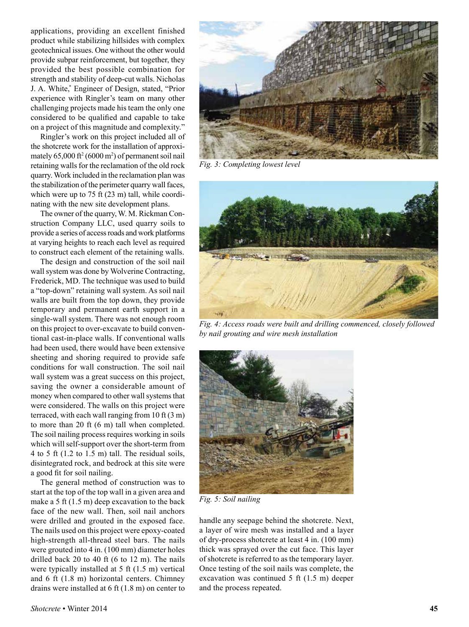applications, providing an excellent finished product while stabilizing hillsides with complex geotechnical issues. One without the other would provide subpar reinforcement, but together, they provided the best possible combination for strength and stability of deep-cut walls. Nicholas J. A. White,\* Engineer of Design, stated, "Prior experience with Ringler's team on many other challenging projects made his team the only one considered to be qualified and capable to take on a project of this magnitude and complexity."

Ringler's work on this project included all of the shotcrete work for the installation of approximately  $65,000$  ft<sup>2</sup> (6000 m<sup>2</sup>) of permanent soil nail retaining walls for the reclamation of the old rock quarry. Work included in the reclamation plan was the stabilization of the perimeter quarry wall faces, which were up to 75 ft (23 m) tall, while coordinating with the new site development plans.

The owner of the quarry, W. M. Rickman Construction Company LLC, used quarry soils to provide a series of access roads and work platforms at varying heights to reach each level as required to construct each element of the retaining walls.

The design and construction of the soil nail wall system was done by Wolverine Contracting, Frederick, MD. The technique was used to build a "top-down" retaining wall system. As soil nail walls are built from the top down, they provide temporary and permanent earth support in a single-wall system. There was not enough room on this project to over-excavate to build conventional cast-in-place walls. If conventional walls had been used, there would have been extensive sheeting and shoring required to provide safe conditions for wall construction. The soil nail wall system was a great success on this project, saving the owner a considerable amount of money when compared to other wall systems that were considered. The walls on this project were terraced, with each wall ranging from 10 ft (3 m) to more than 20 ft (6 m) tall when completed. The soil nailing process requires working in soils which will self-support over the short-term from 4 to 5 ft (1.2 to 1.5 m) tall. The residual soils, disintegrated rock, and bedrock at this site were a good fit for soil nailing.

The general method of construction was to start at the top of the top wall in a given area and make a 5 ft (1.5 m) deep excavation to the back face of the new wall. Then, soil nail anchors were drilled and grouted in the exposed face. The nails used on this project were epoxy-coated high-strength all-thread steel bars. The nails were grouted into 4 in. (100 mm) diameter holes drilled back 20 to 40 ft (6 to 12 m). The nails were typically installed at 5 ft (1.5 m) vertical and 6 ft (1.8 m) horizontal centers. Chimney drains were installed at 6 ft (1.8 m) on center to



*Fig. 3: Completing lowest level*



*Fig. 4: Access roads were built and drilling commenced, closely followed by nail grouting and wire mesh installation*



*Fig. 5: Soil nailing*

handle any seepage behind the shotcrete. Next, a layer of wire mesh was installed and a layer of dry-process shotcrete at least 4 in. (100 mm) thick was sprayed over the cut face. This layer of shotcrete is referred to as the temporary layer. Once testing of the soil nails was complete, the excavation was continued 5 ft (1.5 m) deeper and the process repeated.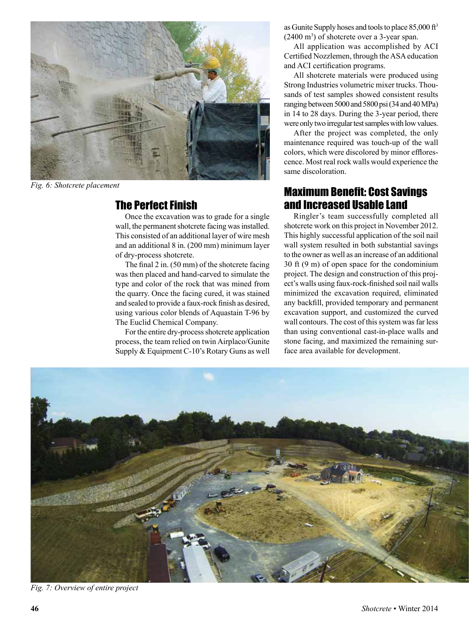

*Fig. 6: Shotcrete placement*

#### The Perfect Finish

Once the excavation was to grade for a single wall, the permanent shotcrete facing was installed. This consisted of an additional layer of wire mesh and an additional 8 in. (200 mm) minimum layer of dry-process shotcrete.

The final 2 in. (50 mm) of the shotcrete facing was then placed and hand-carved to simulate the type and color of the rock that was mined from the quarry. Once the facing cured, it was stained and sealed to provide a faux-rock finish as desired, using various color blends of Aquastain T-96 by The Euclid Chemical Company.

For the entire dry-process shotcrete application process, the team relied on twin Airplaco/Gunite Supply & Equipment C-10's Rotary Guns as well as Gunite Supply hoses and tools to place  $85,000$  ft<sup>3</sup>  $(2400 \text{ m}^3)$  of shotcrete over a 3-year span.

All application was accomplished by ACI Certified Nozzlemen, through the ASA education and ACI certification programs.

All shotcrete materials were produced using Strong Industries volumetric mixer trucks. Thousands of test samples showed consistent results ranging between 5000 and 5800 psi (34 and 40 MPa) in 14 to 28 days. During the 3-year period, there were only two irregular test samples with low values.

After the project was completed, the only maintenance required was touch-up of the wall colors, which were discolored by minor efflorescence. Most real rock walls would experience the same discoloration.

#### Maximum Benefit: Cost Savings and Increased Usable Land

Ringler's team successfully completed all shotcrete work on this project in November 2012. This highly successful application of the soil nail wall system resulted in both substantial savings to the owner as well as an increase of an additional 30 ft (9 m) of open space for the condominium project. The design and construction of this project's walls using faux-rock-finished soil nail walls minimized the excavation required, eliminated any backfill, provided temporary and permanent excavation support, and customized the curved wall contours. The cost of this system was far less than using conventional cast-in-place walls and stone facing, and maximized the remaining surface area available for development.



*Fig. 7: Overview of entire project*